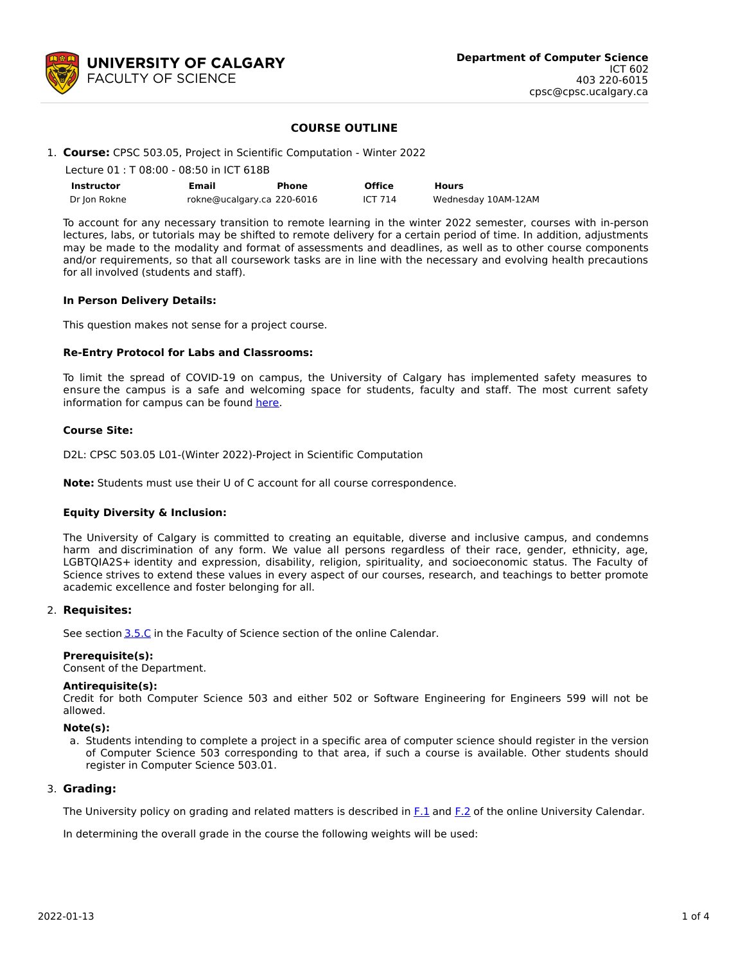

### **COURSE OUTLINE**

#### 1. **Course:** CPSC 503.05, Project in Scientific Computation - Winter 2022

| Lecture 01 : T 08:00 - 08:50 in ICT 618B |                            |       |               |                     |  |  |  |
|------------------------------------------|----------------------------|-------|---------------|---------------------|--|--|--|
| Instructor                               | Email                      | Phone | <b>Office</b> | <b>Hours</b>        |  |  |  |
| Dr Ion Rokne                             | rokne@ucalgary.ca 220-6016 |       | ICT 714       | Wednesday 10AM-12AM |  |  |  |

To account for any necessary transition to remote learning in the winter 2022 semester, courses with in-person lectures, labs, or tutorials may be shifted to remote delivery for a certain period of time. In addition, adjustments may be made to the modality and format of assessments and deadlines, as well as to other course components and/or requirements, so that all coursework tasks are in line with the necessary and evolving health precautions for all involved (students and staff).

#### **In Person Delivery Details:**

This question makes not sense for a project course.

### **Re-Entry Protocol for Labs and Classrooms:**

To limit the spread of COVID-19 on campus, the University of Calgary has implemented safety measures to ensure the campus is a safe and welcoming space for students, faculty and staff. The most current safety information for campus can be found [here](https://www.ucalgary.ca/risk/emergency-management/covid-19-response/return-campus-safety).

### **Course Site:**

D2L: CPSC 503.05 L01-(Winter 2022)-Project in Scientific Computation

**Note:** Students must use their U of C account for all course correspondence.

### **Equity Diversity & Inclusion:**

The University of Calgary is committed to creating an equitable, diverse and inclusive campus, and condemns harm and discrimination of any form. We value all persons regardless of their race, gender, ethnicity, age, LGBTQIA2S+ identity and expression, disability, religion, spirituality, and socioeconomic status. The Faculty of Science strives to extend these values in every aspect of our courses, research, and teachings to better promote academic excellence and foster belonging for all.

### 2. **Requisites:**

See section [3.5.C](http://www.ucalgary.ca/pubs/calendar/current/sc-3-5.html) in the Faculty of Science section of the online Calendar.

### **Prerequisite(s):**

Consent of the Department.

### **Antirequisite(s):**

Credit for both Computer Science 503 and either 502 or Software Engineering for Engineers 599 will not be allowed.

#### **Note(s):**

a. Students intending to complete a project in a specific area of computer science should register in the version of Computer Science 503 corresponding to that area, if such a course is available. Other students should register in Computer Science 503.01.

## 3. **Grading:**

The University policy on grading and related matters is described in [F.1](http://www.ucalgary.ca/pubs/calendar/current/f-1.html) and [F.2](http://www.ucalgary.ca/pubs/calendar/current/f-2.html) of the online University Calendar.

In determining the overall grade in the course the following weights will be used: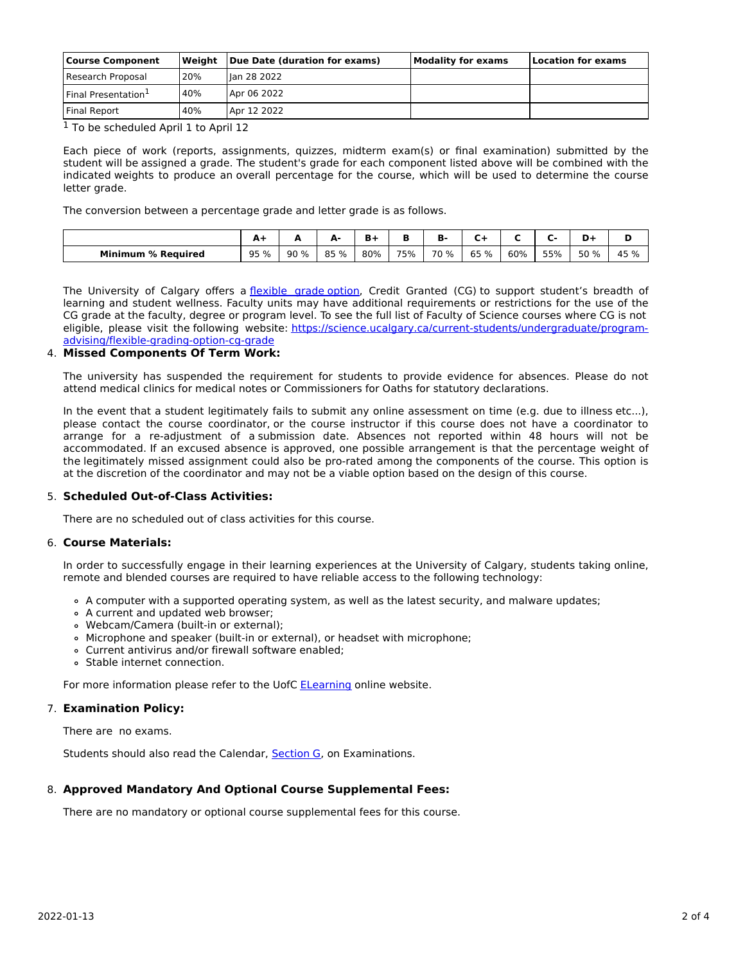| <b>Course Component</b>         | Weiaht | Due Date (duration for exams) | <b>Modality for exams</b> | Location for exams |  |  |
|---------------------------------|--------|-------------------------------|---------------------------|--------------------|--|--|
| Research Proposal               | 20%    | llan 28 2022                  |                           |                    |  |  |
| Final Presentation <sup>1</sup> | 40%    | Apr 06 2022                   |                           |                    |  |  |
| <b>Final Report</b>             | 40%    | Apr 12 2022                   |                           |                    |  |  |

<sup>1</sup> To be scheduled April 1 to April 12

Each piece of work (reports, assignments, quizzes, midterm exam(s) or final examination) submitted by the student will be assigned a grade. The student's grade for each component listed above will be combined with the indicated weights to produce an overall percentage for the course, which will be used to determine the course letter grade.

The conversion between a percentage grade and letter grade is as follows.

|                                | <u>л</u> |      | А.<br>- |     |     | D    |         |     |     | n<br>ּשׁ |      |
|--------------------------------|----------|------|---------|-----|-----|------|---------|-----|-----|----------|------|
| <b>Minimum</b><br>∣ % Reauired | 95 %     | 90 % | 85 %    | 80% | 75% | 70 % | 65<br>% | 60% | 55% | 50 %     | 45 % |

The University of Calgary offers a [flexible](https://www.ucalgary.ca/pubs/calendar/current/f-1-3.html) grade option, Credit Granted (CG) to support student's breadth of learning and student wellness. Faculty units may have additional requirements or restrictions for the use of the CG grade at the faculty, degree or program level. To see the full list of Faculty of Science courses where CG is not eligible, please visit the following website: [https://science.ucalgary.ca/current-students/undergraduate/program](https://science.ucalgary.ca/current-students/undergraduate/program-advising/flexible-grading-option-cg-grade)advising/flexible-grading-option-cg-grade

### 4. **Missed Components Of Term Work:**

The university has suspended the requirement for students to provide evidence for absences. Please do not attend medical clinics for medical notes or Commissioners for Oaths for statutory declarations.

In the event that a student legitimately fails to submit any online assessment on time (e.g. due to illness etc...), please contact the course coordinator, or the course instructor if this course does not have a coordinator to arrange for a re-adjustment of a submission date. Absences not reported within 48 hours will not be accommodated. If an excused absence is approved, one possible arrangement is that the percentage weight of the legitimately missed assignment could also be pro-rated among the components of the course. This option is at the discretion of the coordinator and may not be a viable option based on the design of this course.

## 5. **Scheduled Out-of-Class Activities:**

There are no scheduled out of class activities for this course.

### 6. **Course Materials:**

In order to successfully engage in their learning experiences at the University of Calgary, students taking online, remote and blended courses are required to have reliable access to the following technology:

- A computer with a supported operating system, as well as the latest security, and malware updates;
- A current and updated web browser;
- Webcam/Camera (built-in or external);
- Microphone and speaker (built-in or external), or headset with microphone;
- Current antivirus and/or firewall software enabled;
- Stable internet connection.

For more information please refer to the UofC **[ELearning](https://elearn.ucalgary.ca/technology-requirements-for-students)** online website.

## 7. **Examination Policy:**

There are no exams.

Students should also read the Calendar, [Section](http://www.ucalgary.ca/pubs/calendar/current/g.html) G, on Examinations.

## 8. **Approved Mandatory And Optional Course Supplemental Fees:**

There are no mandatory or optional course supplemental fees for this course.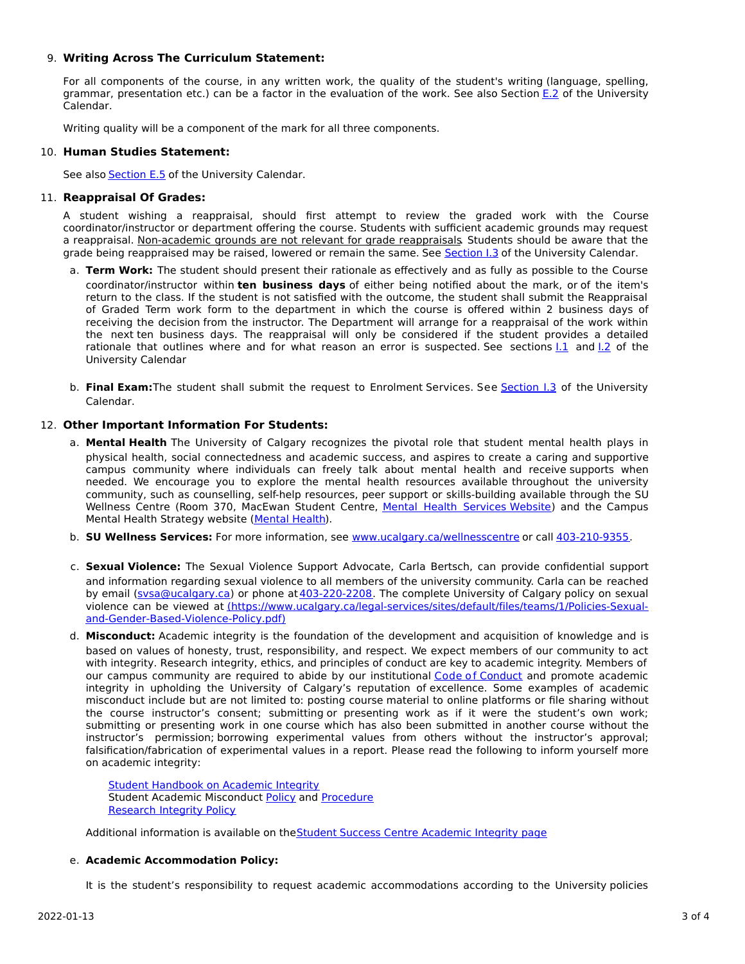## 9. **Writing Across The Curriculum Statement:**

For all components of the course, in any written work, the quality of the student's writing (language, spelling, grammar, presentation etc.) can be a factor in the evaluation of the work. See also Section [E.2](http://www.ucalgary.ca/pubs/calendar/current/e-2.html) of the University Calendar.

Writing quality will be a component of the mark for all three components.

# 10. **Human Studies Statement:**

See also [Section](http://www.ucalgary.ca/pubs/calendar/current/e-5.html) E.5 of the University Calendar.

# 11. **Reappraisal Of Grades:**

A student wishing a reappraisal, should first attempt to review the graded work with the Course coordinator/instructor or department offering the course. Students with sufficient academic grounds may request a reappraisal. Non-academic grounds are not relevant for grade reappraisals. Students should be aware that the grade being reappraised may be raised, lowered or remain the same. See [Section](http://www.ucalgary.ca/pubs/calendar/current/i-3.html) I.3 of the University Calendar.

- a. **Term Work:** The student should present their rationale as effectively and as fully as possible to the Course coordinator/instructor within **ten business days** of either being notified about the mark, or of the item's return to the class. If the student is not satisfied with the outcome, the student shall submit the Reappraisal of Graded Term work form to the department in which the course is offered within 2 business days of receiving the decision from the instructor. The Department will arrange for a reappraisal of the work within the next ten business days. The reappraisal will only be considered if the student provides a detailed rationale that outlines where and for what reason an error is suspected. See sections [I.1](http://www.ucalgary.ca/pubs/calendar/current/i-1.html) and [I.2](http://www.ucalgary.ca/pubs/calendar/current/i-2.html) of the University Calendar
- b. **Final Exam:**The student shall submit the request to Enrolment Services. See [Section](http://www.ucalgary.ca/pubs/calendar/current/i-3.html) I.3 of the University Calendar.

# 12. **Other Important Information For Students:**

- a. **Mental Health** The University of Calgary recognizes the pivotal role that student mental health plays in physical health, social connectedness and academic success, and aspires to create a caring and supportive campus community where individuals can freely talk about mental health and receive supports when needed. We encourage you to explore the mental health resources available throughout the university community, such as counselling, self-help resources, peer support or skills-building available through the SU Wellness Centre (Room 370, MacEwan Student Centre, Mental Health [Services](https://www.ucalgary.ca/wellnesscentre/services/mental-health-services) Website) and the Campus Mental Health Strategy website [\(Mental](http://www.ucalgary.ca/mentalhealth) Health).
- b. **SU Wellness Services:** For more information, see [www.ucalgary.ca/wellnesscentre](http://www.ucalgary.ca/wellnesscentre) or call [403-210-9355.](tel:4032109355)
- c. **Sexual Violence:** The Sexual Violence Support Advocate, Carla Bertsch, can provide confidential support and information regarding sexual violence to all members of the university community. Carla can be reached by email [\(svsa@ucalgary.ca](mailto:svsa@ucalgary.ca)) or phone at [403-220-2208](tel:4032202208). The complete University of Calgary policy on sexual violence can be viewed at [\(https://www.ucalgary.ca/legal-services/sites/default/files/teams/1/Policies-Sexual](https://www.ucalgary.ca/legal-services/sites/default/files/teams/1/Policies-Sexual-and-Gender-Based-Violence-Policy.pdf)and-Gender-Based-Violence-Policy.pdf)
- d. **Misconduct:** Academic integrity is the foundation of the development and acquisition of knowledge and is based on values of honesty, trust, responsibility, and respect. We expect members of our community to act with integrity. Research integrity, ethics, and principles of conduct are key to academic integrity. Members of our campus community are required to abide by our institutional Code of [Conduct](https://www.ucalgary.ca/legal-services/sites/default/files/teams/1/Policies-Code-of-Conduct.pdf) and promote academic integrity in upholding the University of Calgary's reputation of excellence. Some examples of academic misconduct include but are not limited to: posting course material to online platforms or file sharing without the course instructor's consent; submitting or presenting work as if it were the student's own work; submitting or presenting work in one course which has also been submitted in another course without the instructor's permission; borrowing experimental values from others without the instructor's approval; falsification/fabrication of experimental values in a report. Please read the following to inform yourself more on academic integrity:

Student [Handbook](https://www.ucalgary.ca/live-uc-ucalgary-site/sites/default/files/teams/9/AI-Student-handbook-1.pdf) on Academic Integrity Student Academic Misconduct [Policy](https://www.ucalgary.ca/legal-services/sites/default/files/teams/1/Policies-Student-Academic-Misconduct-Policy.pdf) and [Procedure](https://www.ucalgary.ca/legal-services/sites/default/files/teams/1/Policies-Student-Academic-Misconduct-Procedure.pdf) [Research](https://www.ucalgary.ca/legal-services/sites/default/files/teams/1/Policies-Research-Integrity-Policy.pdf) Integrity Policy

Additional information is available on theStudent Success Centre [Academic](https://ucalgary.ca/student-services/student-success/learning/academic-integrity) Integrity page

## e. **Academic Accommodation Policy:**

It is the student's responsibility to request academic accommodations according to the University policies